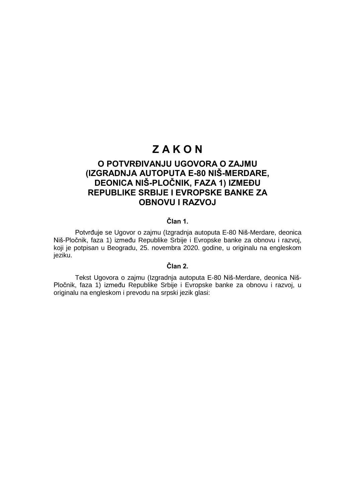# **Z A K O N**

# **O POTVRĐIVANJU UGOVORA O ZAJMU (IZGRADNJA AUTOPUTA E-80 NIŠ-MERDARE, DEONICA NIŠ-PLOČNIK, FAZA 1) IZMEĐU REPUBLIKE SRBIJE I EVROPSKE BANKE ZA OBNOVU I RAZVOJ**

### **Član 1.**

Potvrđuje se Ugovor o zajmu (Izgradnja autoputa E-80 Niš-Merdare, deonica Niš-Pločnik, faza 1) između Republike Srbije i Evropske banke za obnovu i razvoj, koji je potpisan u Beogradu, 25. novembra 2020. godine, u originalu na engleskom jeziku.

# **Član 2.**

Tekst Ugovora o zajmu (Izgradnja autoputa E-80 Niš-Merdare, deonica Niš-Pločnik, faza 1) između Republike Srbije i Evropske banke za obnovu i razvoj, u originalu na engleskom i prevodu na srpski jezik glasi: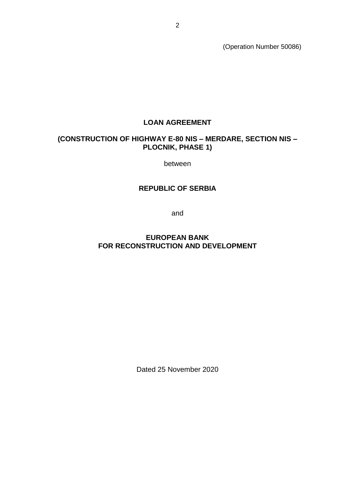(Operation Number 50086)

# **LOAN AGREEMENT**

# **(CONSTRUCTION OF HIGHWAY E-80 NIS – MERDARE, SECTION NIS – PLOCNIK, PHASE 1)**

between

# **REPUBLIC OF SERBIA**

and

# **EUROPEAN BANK FOR RECONSTRUCTION AND DEVELOPMENT**

Dated 25 November 2020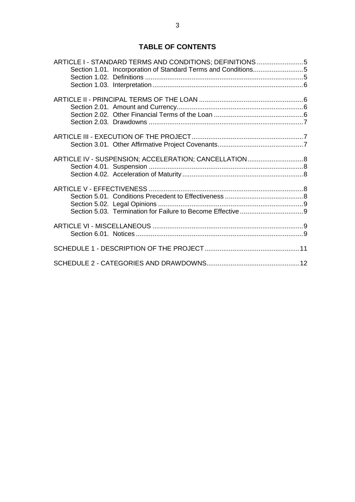# **TABLE OF CONTENTS**

|  | ARTICLE I - STANDARD TERMS AND CONDITIONS; DEFINITIONS5       |  |
|--|---------------------------------------------------------------|--|
|  | Section 1.01. Incorporation of Standard Terms and Conditions5 |  |
|  |                                                               |  |
|  |                                                               |  |
|  |                                                               |  |
|  |                                                               |  |
|  |                                                               |  |
|  |                                                               |  |
|  |                                                               |  |
|  |                                                               |  |
|  |                                                               |  |
|  | ARTICLE IV - SUSPENSION; ACCELERATION; CANCELLATION 8         |  |
|  |                                                               |  |
|  |                                                               |  |
|  |                                                               |  |
|  |                                                               |  |
|  |                                                               |  |
|  |                                                               |  |
|  |                                                               |  |
|  |                                                               |  |
|  |                                                               |  |
|  |                                                               |  |
|  |                                                               |  |
|  |                                                               |  |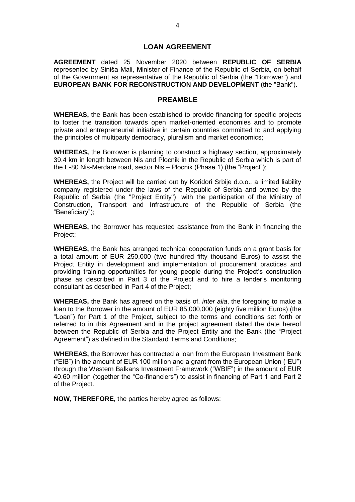### **LOAN AGREEMENT**

**AGREEMENT** dated 25 November 2020 between **REPUBLIC OF SERBIA** represented by Siniša Mali, Minister of Finance of the Republic of Serbia, on behalf of the Government as representative of the Republic of Serbia (the "Borrower") and **EUROPEAN BANK FOR RECONSTRUCTION AND DEVELOPMENT** (the "Bank").

### **PREAMBLE**

**WHEREAS,** the Bank has been established to provide financing for specific projects to foster the transition towards open market-oriented economies and to promote private and entrepreneurial initiative in certain countries committed to and applying the principles of multiparty democracy, pluralism and market economics;

**WHEREAS,** the Borrower is planning to construct a highway section, approximately 39.4 km in length between Nis and Plocnik in the Republic of Serbia which is part of the E-80 Nis-Merdare road, sector Nis – Plocnik (Phase 1) (the "Project");

**WHEREAS,** the Project will be carried out by Koridori Srbije d.o.o., a limited liability company registered under the laws of the Republic of Serbia and owned by the Republic of Serbia (the "Project Entity"), with the participation of the Ministry of Construction, Transport and Infrastructure of the Republic of Serbia (the "Beneficiary");

**WHEREAS,** the Borrower has requested assistance from the Bank in financing the Project;

**WHEREAS,** the Bank has arranged technical cooperation funds on a grant basis for a total amount of EUR 250,000 (two hundred fifty thousand Euros) to assist the Project Entity in development and implementation of procurement practices and providing training opportunities for young people during the Project's construction phase as described in Part 3 of the Project and to hire a lender's monitoring consultant as described in Part 4 of the Project;

**WHEREAS,** the Bank has agreed on the basis of, *inter alia*, the foregoing to make a loan to the Borrower in the amount of EUR 85,000,000 (eighty five million Euros) (the "Loan") for Part 1 of the Project, subject to the terms and conditions set forth or referred to in this Agreement and in the project agreement dated the date hereof between the Republic of Serbia and the Project Entity and the Bank (the "Project Agreement") as defined in the Standard Terms and Conditions;

**WHEREAS,** the Borrower has contracted a loan from the European Investment Bank ("EIB") in the amount of EUR 100 million and a grant from the European Union ("EU") through the Western Balkans Investment Framework ("WBIF") in the amount of EUR 40.60 million (together the "Co-financiers") to assist in financing of Part 1 and Part 2 of the Project.

**NOW, THEREFORE,** the parties hereby agree as follows: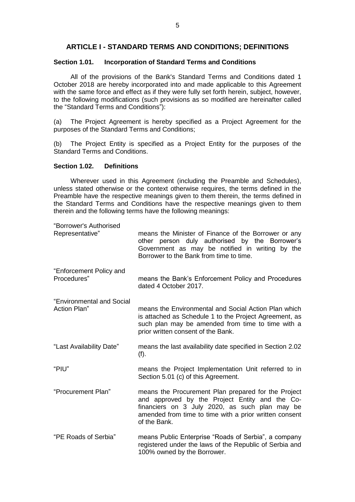## **ARTICLE I - STANDARD TERMS AND CONDITIONS; DEFINITIONS**

### **Section 1.01. Incorporation of Standard Terms and Conditions**

All of the provisions of the Bank's Standard Terms and Conditions dated 1 October 2018 are hereby incorporated into and made applicable to this Agreement with the same force and effect as if they were fully set forth herein, subject, however, to the following modifications (such provisions as so modified are hereinafter called the "Standard Terms and Conditions"):

(a) The Project Agreement is hereby specified as a Project Agreement for the purposes of the Standard Terms and Conditions;

(b) The Project Entity is specified as a Project Entity for the purposes of the Standard Terms and Conditions.

### **Section 1.02. Definitions**

Wherever used in this Agreement (including the Preamble and Schedules), unless stated otherwise or the context otherwise requires, the terms defined in the Preamble have the respective meanings given to them therein, the terms defined in the Standard Terms and Conditions have the respective meanings given to them therein and the following terms have the following meanings:

| "Borrower's Authorised<br>Representative" | means the Minister of Finance of the Borrower or any<br>other person duly authorised by the Borrower's<br>Government as may be notified in writing by the<br>Borrower to the Bank from time to time.                              |
|-------------------------------------------|-----------------------------------------------------------------------------------------------------------------------------------------------------------------------------------------------------------------------------------|
| "Enforcement Policy and<br>Procedures"    | means the Bank's Enforcement Policy and Procedures<br>dated 4 October 2017.                                                                                                                                                       |
| "Environmental and Social<br>Action Plan" | means the Environmental and Social Action Plan which<br>is attached as Schedule 1 to the Project Agreement, as<br>such plan may be amended from time to time with a<br>prior written consent of the Bank.                         |
| "Last Availability Date"                  | means the last availability date specified in Section 2.02<br>(f).                                                                                                                                                                |
| "PIU"                                     | means the Project Implementation Unit referred to in<br>Section 5.01 (c) of this Agreement.                                                                                                                                       |
| "Procurement Plan"                        | means the Procurement Plan prepared for the Project<br>and approved by the Project Entity and the Co-<br>financiers on 3 July 2020, as such plan may be<br>amended from time to time with a prior written consent<br>of the Bank. |
| "PE Roads of Serbia"                      | means Public Enterprise "Roads of Serbia", a company<br>registered under the laws of the Republic of Serbia and<br>100% owned by the Borrower.                                                                                    |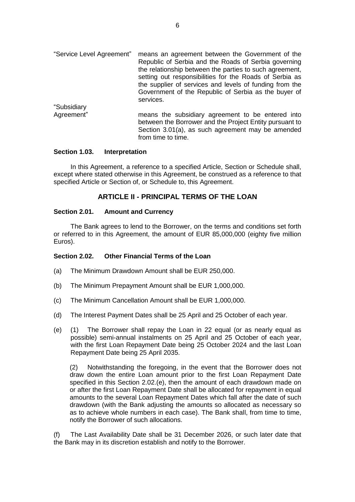- "Service Level Agreement" means an agreement between the Government of the Republic of Serbia and the Roads of Serbia governing the relationship between the parties to such agreement, setting out responsibilities for the Roads of Serbia as the supplier of services and levels of funding from the Government of the Republic of Serbia as the buyer of services. "Subsidiary
- Agreement" means the subsidiary agreement to be entered into between the Borrower and the Project Entity pursuant to Section 3.01(a), as such agreement may be amended from time to time.

### **Section 1.03. Interpretation**

In this Agreement, a reference to a specified Article, Section or Schedule shall, except where stated otherwise in this Agreement, be construed as a reference to that specified Article or Section of, or Schedule to, this Agreement.

# **ARTICLE II - PRINCIPAL TERMS OF THE LOAN**

### **Section 2.01. Amount and Currency**

The Bank agrees to lend to the Borrower, on the terms and conditions set forth or referred to in this Agreement, the amount of EUR 85,000,000 (eighty five million Euros).

### **Section 2.02. Other Financial Terms of the Loan**

- (a) The Minimum Drawdown Amount shall be EUR 250,000.
- (b) The Minimum Prepayment Amount shall be EUR 1,000,000.
- (c) The Minimum Cancellation Amount shall be EUR 1,000,000.
- (d) The Interest Payment Dates shall be 25 April and 25 October of each year.
- (e) (1) The Borrower shall repay the Loan in 22 equal (or as nearly equal as possible) semi-annual instalments on 25 April and 25 October of each year, with the first Loan Repayment Date being 25 October 2024 and the last Loan Repayment Date being 25 April 2035.

(2) Notwithstanding the foregoing, in the event that the Borrower does not draw down the entire Loan amount prior to the first Loan Repayment Date specified in this Section 2.02.(e), then the amount of each drawdown made on or after the first Loan Repayment Date shall be allocated for repayment in equal amounts to the several Loan Repayment Dates which fall after the date of such drawdown (with the Bank adjusting the amounts so allocated as necessary so as to achieve whole numbers in each case). The Bank shall, from time to time, notify the Borrower of such allocations.

(f) The Last Availability Date shall be 31 December 2026, or such later date that the Bank may in its discretion establish and notify to the Borrower.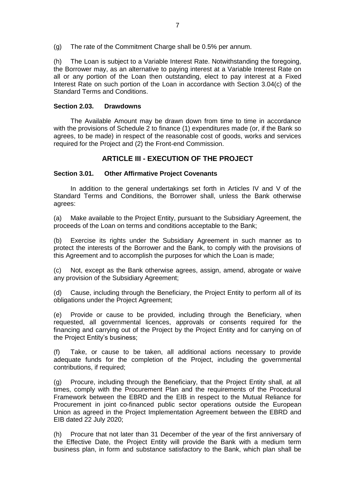(g) The rate of the Commitment Charge shall be 0.5% per annum.

(h) The Loan is subject to a Variable Interest Rate. Notwithstanding the foregoing, the Borrower may, as an alternative to paying interest at a Variable Interest Rate on all or any portion of the Loan then outstanding, elect to pay interest at a Fixed Interest Rate on such portion of the Loan in accordance with Section 3.04(c) of the Standard Terms and Conditions.

### **Section 2.03. Drawdowns**

The Available Amount may be drawn down from time to time in accordance with the provisions of Schedule 2 to finance (1) expenditures made (or, if the Bank so agrees, to be made) in respect of the reasonable cost of goods, works and services required for the Project and (2) the Front-end Commission.

# **ARTICLE III - EXECUTION OF THE PROJECT**

### **Section 3.01. Other Affirmative Project Covenants**

In addition to the general undertakings set forth in Articles IV and V of the Standard Terms and Conditions, the Borrower shall, unless the Bank otherwise agrees:

(a) Make available to the Project Entity, pursuant to the Subsidiary Agreement, the proceeds of the Loan on terms and conditions acceptable to the Bank;

(b) Exercise its rights under the Subsidiary Agreement in such manner as to protect the interests of the Borrower and the Bank, to comply with the provisions of this Agreement and to accomplish the purposes for which the Loan is made;

(c) Not, except as the Bank otherwise agrees, assign, amend, abrogate or waive any provision of the Subsidiary Agreement;

(d) Cause, including through the Beneficiary, the Project Entity to perform all of its obligations under the Project Agreement;

(e) Provide or cause to be provided, including through the Beneficiary, when requested, all governmental licences, approvals or consents required for the financing and carrying out of the Project by the Project Entity and for carrying on of the Project Entity's business;

(f) Take, or cause to be taken, all additional actions necessary to provide adequate funds for the completion of the Project, including the governmental contributions, if required;

(g) Procure, including through the Beneficiary, that the Project Entity shall, at all times, comply with the Procurement Plan and the requirements of the Procedural Framework between the EBRD and the EIB in respect to the Mutual Reliance for Procurement in joint co-financed public sector operations outside the European Union as agreed in the Project Implementation Agreement between the EBRD and EIB dated 22 July 2020;

(h) Procure that not later than 31 December of the year of the first anniversary of the Effective Date, the Project Entity will provide the Bank with a medium term business plan, in form and substance satisfactory to the Bank, which plan shall be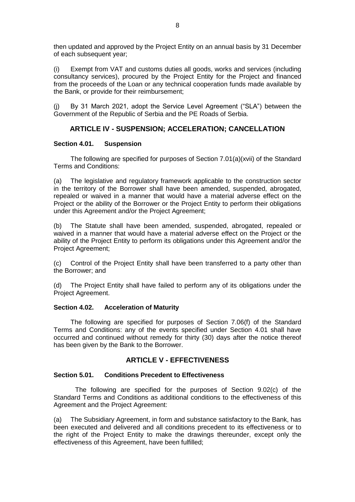then updated and approved by the Project Entity on an annual basis by 31 December of each subsequent year;

(i) Exempt from VAT and customs duties all goods, works and services (including consultancy services), procured by the Project Entity for the Project and financed from the proceeds of the Loan or any technical cooperation funds made available by the Bank, or provide for their reimbursement;

(j) By 31 March 2021, adopt the Service Level Agreement ("SLA") between the Government of the Republic of Serbia and the PE Roads of Serbia.

# **ARTICLE IV - SUSPENSION; ACCELERATION; CANCELLATION**

### **Section 4.01. Suspension**

The following are specified for purposes of Section 7.01(a)(xvii) of the Standard Terms and Conditions:

(a) The legislative and regulatory framework applicable to the construction sector in the territory of the Borrower shall have been amended, suspended, abrogated, repealed or waived in a manner that would have a material adverse effect on the Project or the ability of the Borrower or the Project Entity to perform their obligations under this Agreement and/or the Project Agreement;

(b) The Statute shall have been amended, suspended, abrogated, repealed or waived in a manner that would have a material adverse effect on the Project or the ability of the Project Entity to perform its obligations under this Agreement and/or the Project Agreement;

(c) Control of the Project Entity shall have been transferred to a party other than the Borrower; and

(d) The Project Entity shall have failed to perform any of its obligations under the Project Agreement.

### **Section 4.02. Acceleration of Maturity**

The following are specified for purposes of Section 7.06(f) of the Standard Terms and Conditions: any of the events specified under Section 4.01 shall have occurred and continued without remedy for thirty (30) days after the notice thereof has been given by the Bank to the Borrower.

## **ARTICLE V - EFFECTIVENESS**

### **Section 5.01. Conditions Precedent to Effectiveness**

The following are specified for the purposes of Section 9.02(c) of the Standard Terms and Conditions as additional conditions to the effectiveness of this Agreement and the Project Agreement:

(a) The Subsidiary Agreement, in form and substance satisfactory to the Bank, has been executed and delivered and all conditions precedent to its effectiveness or to the right of the Project Entity to make the drawings thereunder, except only the effectiveness of this Agreement, have been fulfilled;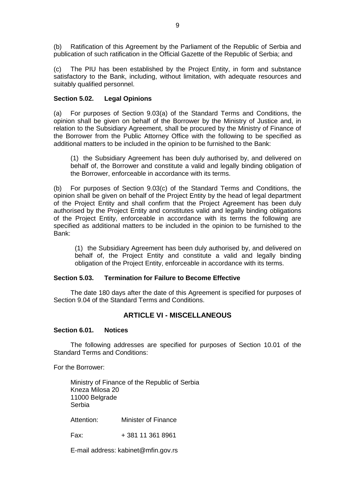(b) Ratification of this Agreement by the Parliament of the Republic of Serbia and publication of such ratification in the Official Gazette of the Republic of Serbia; and

(c) The PIU has been established by the Project Entity, in form and substance satisfactory to the Bank, including, without limitation, with adequate resources and suitably qualified personnel.

### **Section 5.02. Legal Opinions**

(a) For purposes of Section 9.03(a) of the Standard Terms and Conditions, the opinion shall be given on behalf of the Borrower by the Ministry of Justice and, in relation to the Subsidiary Agreement, shall be procured by the Ministry of Finance of the Borrower from the Public Attorney Office with the following to be specified as additional matters to be included in the opinion to be furnished to the Bank:

(1) the Subsidiary Agreement has been duly authorised by, and delivered on behalf of, the Borrower and constitute a valid and legally binding obligation of the Borrower, enforceable in accordance with its terms.

(b) For purposes of Section 9.03(c) of the Standard Terms and Conditions, the opinion shall be given on behalf of the Project Entity by the head of legal department of the Project Entity and shall confirm that the Project Agreement has been duly authorised by the Project Entity and constitutes valid and legally binding obligations of the Project Entity, enforceable in accordance with its terms the following are specified as additional matters to be included in the opinion to be furnished to the Bank:

(1) the Subsidiary Agreement has been duly authorised by, and delivered on behalf of, the Project Entity and constitute a valid and legally binding obligation of the Project Entity, enforceable in accordance with its terms.

### **Section 5.03. Termination for Failure to Become Effective**

The date 180 days after the date of this Agreement is specified for purposes of Section 9.04 of the Standard Terms and Conditions.

## **ARTICLE VI - MISCELLANEOUS**

### **Section 6.01. Notices**

The following addresses are specified for purposes of Section 10.01 of the Standard Terms and Conditions:

For the Borrower:

Ministry of Finance of the Republic of Serbia Kneza Milosa 20 11000 Belgrade Serbia

Attention: Minister of Finance

Fax: + 381 11 361 8961

E-mail address: kabinet@mfin.gov.rs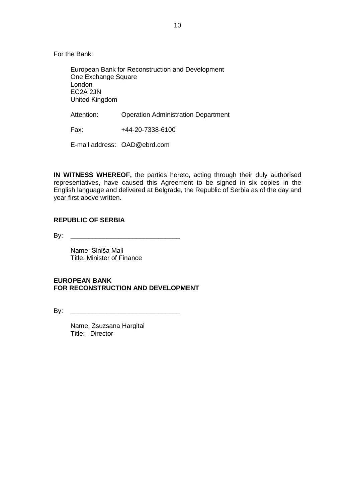For the Bank:

European Bank for Reconstruction and Development One Exchange Square London EC2A 2JN United Kingdom

Attention: Operation Administration Department

Fax: +44-20-7338-6100

E-mail address: OAD@ebrd.com

**IN WITNESS WHEREOF,** the parties hereto, acting through their duly authorised representatives, have caused this Agreement to be signed in six copies in the English language and delivered at Belgrade, the Republic of Serbia as of the day and year first above written.

## **REPUBLIC OF SERBIA**

By: \_\_\_\_\_\_\_\_\_\_\_\_\_\_\_\_\_\_\_\_\_\_\_\_\_\_\_\_\_\_

Name: Siniša Mali Title: Minister of Finance

## **EUROPEAN BANK FOR RECONSTRUCTION AND DEVELOPMENT**

 $\mathsf{B} \mathsf{v}$ :

Name: Zsuzsana Hargitai Title: Director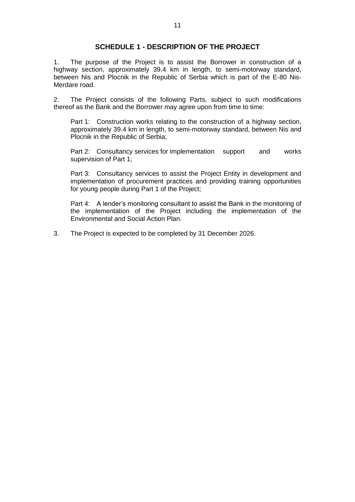## **SCHEDULE 1 - DESCRIPTION OF THE PROJECT**

1. The purpose of the Project is to assist the Borrower in construction of a highway section, approximately 39.4 km in length, to semi-motorway standard, between Nis and Plocnik in the Republic of Serbia which is part of the E-80 Nis-Merdare road.

2. The Project consists of the following Parts, subject to such modifications thereof as the Bank and the Borrower may agree upon from time to time:

Part 1: Construction works relating to the construction of a highway section, approximately 39.4 km in length, to semi-motorway standard, between Nis and Plocnik in the Republic of Serbia;

Part 2: Consultancy services for implementation support and works supervision of Part 1;

Part 3: Consultancy services to assist the Project Entity in development and implementation of procurement practices and providing training opportunities for young people during Part 1 of the Project;

Part 4: A lender's monitoring consultant to assist the Bank in the monitoring of the implementation of the Project including the implementation of the Environmental and Social Action Plan.

3. The Project is expected to be completed by 31 December 2026.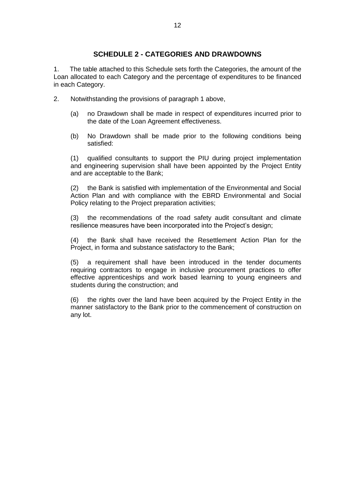# **SCHEDULE 2 - CATEGORIES AND DRAWDOWNS**

1. The table attached to this Schedule sets forth the Categories, the amount of the Loan allocated to each Category and the percentage of expenditures to be financed in each Category.

- 2. Notwithstanding the provisions of paragraph 1 above,
	- (a) no Drawdown shall be made in respect of expenditures incurred prior to the date of the Loan Agreement effectiveness.
	- (b) No Drawdown shall be made prior to the following conditions being satisfied:

(1) qualified consultants to support the PIU during project implementation and engineering supervision shall have been appointed by the Project Entity and are acceptable to the Bank;

(2) the Bank is satisfied with implementation of the Environmental and Social Action Plan and with compliance with the EBRD Environmental and Social Policy relating to the Project preparation activities;

(3) the recommendations of the road safety audit consultant and climate resilience measures have been incorporated into the Project's design;

(4) the Bank shall have received the Resettlement Action Plan for the Project, in forma and substance satisfactory to the Bank;

(5) a requirement shall have been introduced in the tender documents requiring contractors to engage in inclusive procurement practices to offer effective apprenticeships and work based learning to young engineers and students during the construction; and

(6) the rights over the land have been acquired by the Project Entity in the manner satisfactory to the Bank prior to the commencement of construction on any lot.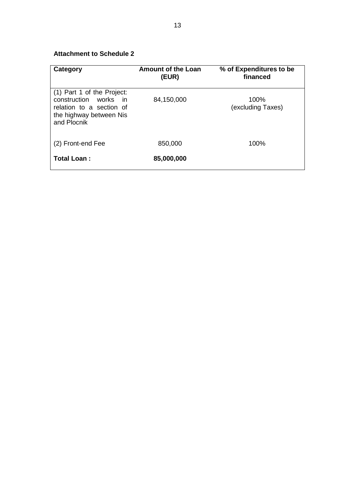# **Attachment to Schedule 2**

| Category                                                                                                                  | <b>Amount of the Loan</b><br>(EUR) | % of Expenditures to be<br>financed |
|---------------------------------------------------------------------------------------------------------------------------|------------------------------------|-------------------------------------|
| (1) Part 1 of the Project:<br>construction works in<br>relation to a section of<br>the highway between Nis<br>and Plocnik | 84,150,000                         | 100%<br>(excluding Taxes)           |
| (2) Front-end Fee                                                                                                         | 850,000                            | 100%                                |
| Total Loan:                                                                                                               | 85,000,000                         |                                     |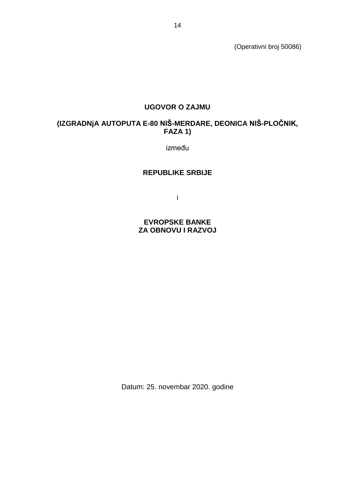(Operativni broj 50086)

# **UGOVOR O ZAJMU**

# **(IZGRADNjA AUTOPUTA E-80 NIŠ-MERDARE, DEONICA NIŠ-PLOČNIK, FAZA 1)**

između

### **REPUBLIKE SRBIJE**

i

**EVROPSKE BANKE ZA OBNOVU I RAZVOJ**

Datum: 25. novembar 2020. godine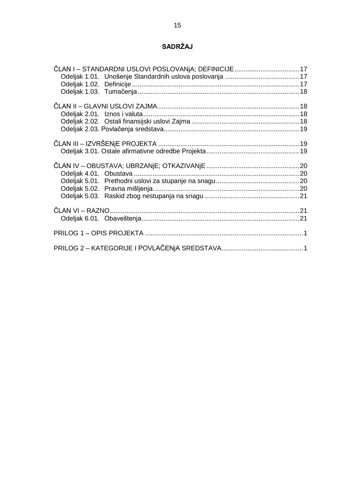# **SADRŽAJ**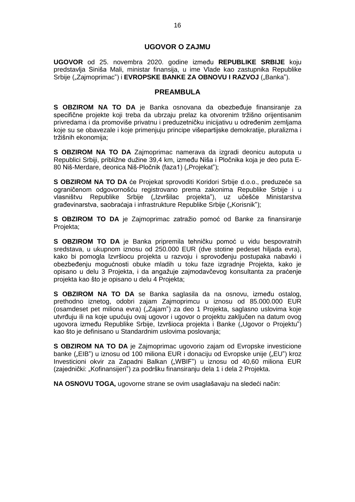### **UGOVOR O ZAJMU**

**UGOVOR** od 25. novembra 2020. godine između **REPUBLIKE SRBIJE** koju predstavlja Siniša Mali, ministar finansija, u ime Vlade kao zastupnika Republike Srbije ("Zajmoprimac") i **EVROPSKE BANKE ZA OBNOVU I RAZVOJ** ("Banka").

### **PREAMBULA**

**S OBZIROM NA TO DA** je Banka osnovana da obezbeđuje finansiranje za specifične projekte koji treba da ubrzaju prelaz ka otvorenim tržišno orijentisanim privredama i da promoviše privatnu i preduzetničku inicijativu u određenim zemljama koje su se obavezale i koje primenjuju principe višepartijske demokratije, pluralizma i tržišnih ekonomija;

**S OBZIROM NA TO DA** Zajmoprimac namerava da izgradi deonicu autoputa u Republici Srbiji, približne dužine 39,4 km, između Niša i Pločnika koja je deo puta E-80 Niš-Merdare, deonica Niš-Pločnik (faza1) ("Projekat");

**S OBZIROM NA TO DA** će Projekat sprovoditi Koridori Srbije d.o.o., preduzeće sa ograničenom odgovornošću registrovano prema zakonima Republike Srbije i u vlasništvu Republike Srbije ("Izvršilac projekta"), uz učešće Ministarstva građevinarstva, saobraćaja i infrastrukture Republike Srbije ("Korisnik");

**S OBZIROM TO DA** je Zajmoprimac zatražio pomoć od Banke za finansiranje Projekta;

**S OBZIROM TO DA** je Banka pripremila tehničku pomoć u vidu bespovratnih sredstava, u ukupnom iznosu od 250.000 EUR (dve stotine pedeset hiljada evra), kako bi pomogla Izvršiocu projekta u razvoju i sprovođenju postupaka nabavki i obezbeđenju mogućnosti obuke mladih u toku faze izgradnje Projekta, kako je opisano u delu 3 Projekta, i da angažuje zajmodavčevog konsultanta za praćenje projekta kao što je opisano u delu 4 Projekta;

**S OBZIROM NA TO DA** se Banka saglasila da na osnovu, između ostalog, prethodno iznetog, odobri zajam Zajmoprimcu u iznosu od 85.000.000 EUR (osamdeset pet miliona evra) ("Zajamˮ) za deo 1 Projekta, saglasno uslovima koje utvrđuju ili na koje upućuju ovaj ugovor i ugovor o projektu zaključen na datum ovog ugovora između Republike Srbije, Izvršioca projekta i Banke ("Ugovor o Projektu") kao što je definisano u Standardnim uslovima poslovanja;

**S OBZIROM NA TO DA** je Zajmoprimac ugovorio zajam od Evropske investicione banke ("EIB") u iznosu od 100 miliona EUR i donaciju od Evropske unije ("EU") kroz Investicioni okvir za Zapadni Balkan ("WBIF") u iznosu od 40,60 miliona EUR (zajednički: "Kofinansijeri") za podršku finansiranju dela 1 i dela 2 Projekta.

**NA OSNOVU TOGA,** ugovorne strane se ovim usaglašavaju na sledeći način: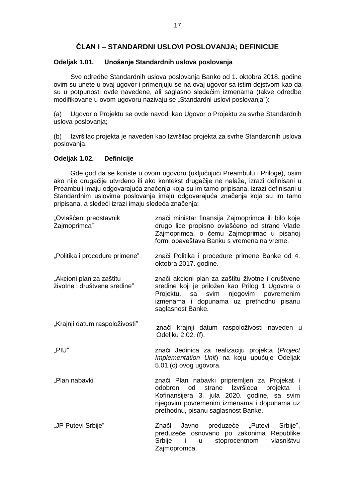# **ČLAN I – STANDARDNI USLOVI POSLOVANJA; DEFINICIJE**

### <span id="page-16-1"></span><span id="page-16-0"></span>**Odeljak 1.01. Unošenje Standardnih uslova poslovanja**

Sve odredbe Standardnih uslova poslovanja Banke od 1. oktobra 2018. godine ovim su unete u ovaj ugovor i primenjuju se na ovaj ugovor sa istim dejstvom kao da su u potpunosti ovde navedene, ali saglasno sledećim izmenama (takve odredbe modifikovane u ovom ugovoru nazivaju se "Standardni uslovi poslovanja"):

(a) Ugovor o Projektu se ovde navodi kao Ugovor o Projektu za svrhe Standardnih uslova poslovanja;

(b) Izvršilac projekta je naveden kao Izvršilac projekta za svrhe Standardnih uslova poslovanja.

### <span id="page-16-2"></span>**Odeljak 1.02. Definicije**

Gde god da se koriste u ovom ugovoru (uključujući Preambulu i Priloge), osim ako nije drugačije utvrđeno ili ako kontekst drugačije ne nalaže, izrazi definisani u Preambuli imaju odgovarajuća značenja koja su im tamo pripisana, izrazi definisani u Standardnim uslovima poslovanja imaju odgovarajuća značenja koja su im tamo pripisana, a sledeći izrazi imaju sledeća značenja:

| "Ovlašćeni predstavnik<br>Zajmoprimca"                   | znači ministar finansija Zajmoprimca ili bilo koje<br>drugo lice propisno ovlašćeno od strane Vlade<br>Zajmoprimca, o čemu Zajmoprimac u pisanoj<br>formi obaveštava Banku s vremena na vreme.                                      |  |
|----------------------------------------------------------|-------------------------------------------------------------------------------------------------------------------------------------------------------------------------------------------------------------------------------------|--|
| "Politika i procedure primene"                           | znači Politika i procedure primene Banke od 4.<br>oktobra 2017. godine.                                                                                                                                                             |  |
| "Akcioni plan za zaštitu<br>životne i društvene sredine" | znači akcioni plan za zaštitu životne i društvene<br>sredine koji je priložen kao Prilog 1 Ugovora o<br>njegovim povremenim<br>svim<br>Projektu, sa<br>izmenama i dopunama uz prethodnu pisanu<br>saglasnost Banke.                 |  |
| "Krajnji datum raspoloživosti"                           | znači krajnji datum raspoloživosti naveden u<br>Odeljku 2.02. (f).                                                                                                                                                                  |  |
| "PIU"                                                    | znači Jedinica za realizaciju projekta (Project<br>Implementation Unit) na koju upućuje Odeljak<br>5.01 (c) ovog ugovora.                                                                                                           |  |
| "Plan nabavki"                                           | znači Plan nabavki pripremljen za Projekat i<br>strane Izvršioca<br>od<br>projekta i<br>odobren<br>Kofinansijera 3. jula 2020. godine, sa svim<br>njegovim povremenim izmenama i dopunama uz<br>prethodnu, pisanu saglasnost Banke. |  |
| "JP Putevi Srbije"                                       | Srbije",<br>Javno<br>preduzeće "Putevi<br>Znači<br>preduzeće osnovano po zakonima Republike<br>Srbije<br>stoprocentnom<br>vlasništvu<br>- i<br>$\mathsf{u}$<br>Zajmopromca.                                                         |  |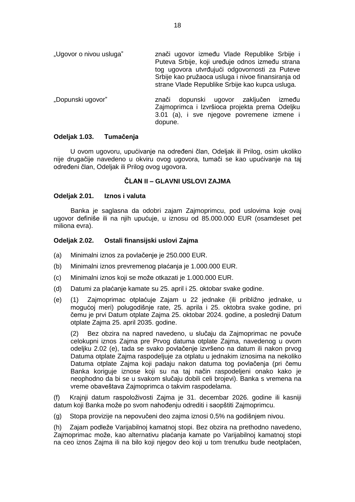- "Ugovor o nivou usluga" znači ugovor između Vlade Republike Srbije i Puteva Srbije, koji uređuje odnos između strana tog ugovora utvrđujući odgovornosti za Puteve Srbije kao pružaoca usluga i nivoe finansiranja od strane Vlade Republike Srbije kao kupca usluga.
- "Dopunski ugovor" znači dopunski ugovor zaključen između Zajmoprimca i Izvršioca projekta prema Odeljku 3.01 (a), i sve njegove povremene izmene i dopune.

## <span id="page-17-0"></span>**Odeljak 1.03. Tumačenja**

U ovom ugovoru, upućivanje na određeni član, Odeljak ili Prilog, osim ukoliko nije drugačije navedeno u okviru ovog ugovora, tumači se kao upućivanje na taj određeni član, Odeljak ili Prilog ovog ugovora.

## **ČLAN II – GLAVNI USLOVI ZAJMA**

### <span id="page-17-2"></span><span id="page-17-1"></span>**Odeljak 2.01. Iznos i valuta**

Banka je saglasna da odobri zajam Zajmoprimcu, pod uslovima koje ovaj ugovor definiše ili na njih upućuje, u iznosu od 85.000.000 EUR (osamdeset pet miliona evra).

### <span id="page-17-3"></span>**Odeljak 2.02. Ostali finansijski uslovi Zajma**

- (a) Minimalni iznos za povlačenje je 250.000 EUR.
- (b) Minimalni iznos prevremenog plaćanja je 1.000.000 EUR.
- (c) Minimalni iznos koji se može otkazati je 1.000.000 EUR.
- (d) Datumi za plaćanje kamate su 25. april i 25. oktobar svake godine.
- (e) (1) Zajmoprimac otplaćuje Zajam u 22 jednake (ili približno jednake, u mogućoj meri) polugodišnje rate, 25. aprila i 25. oktobra svake godine, pri čemu je prvi Datum otplate Zajma 25. oktobar 2024. godine, a poslednji Datum otplate Zajma 25. april 2035. godine.

(2) Bez obzira na napred navedeno, u slučaju da Zajmoprimac ne povuče celokupni iznos Zajma pre Prvog datuma otplate Zajma, navedenog u ovom odeljku 2.02 (e), tada se svako povlačenje izvršeno na datum ili nakon prvog Datuma otplate Zajma raspodeljuje za otplatu u jednakim iznosima na nekoliko Datuma otplate Zajma koji padaju nakon datuma tog povlačenja (pri čemu Banka koriguje iznose koji su na taj način raspodeljeni onako kako je neophodno da bi se u svakom slučaju dobili celi brojevi). Banka s vremena na vreme obaveštava Zajmoprimca o takvim raspodelama.

(f) Krajnji datum raspoloživosti Zajma je 31. decembar 2026. godine ili kasniji datum koji Banka može po svom nahođenju odrediti i saopštiti Zajmoprimcu.

(g) Stopa provizije na nepovučeni deo zajma iznosi 0,5% na godišnjem nivou.

(h) Zajam podleže Varijabilnoj kamatnoj stopi. Bez obzira na prethodno navedeno, Zajmoprimac može, kao alternativu plaćanja kamate po Varijabilnoj kamatnoj stopi na ceo iznos Zajma ili na bilo koji njegov deo koji u tom trenutku bude neotplaćen,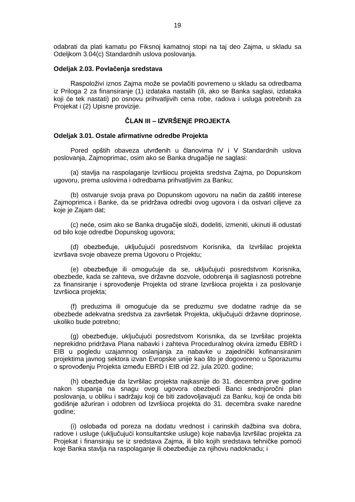odabrati da plati kamatu po Fiksnoj kamatnoj stopi na taj deo Zajma, u skladu sa Odeljkom 3.04(c) Standardnih uslova poslovanja.

#### <span id="page-18-0"></span>**Odeljak 2.03. Povlačenja sredstava**

Raspoloživi iznos Zajma može se povlačiti povremeno u skladu sa odredbama iz Priloga 2 za finansiranje (1) izdataka nastalih (ili, ako se Banka saglasi, izdataka koji će tek nastati) po osnovu prihvatljivih cena robe, radova i usluga potrebnih za Projekat i (2) Upisne provizije.

### **ČLAN III – IZVRŠENjE PROJEKTA**

#### <span id="page-18-2"></span><span id="page-18-1"></span>**Odeljak 3.01. Ostale afirmativne odredbe Projekta**

Pored opštih obaveza utvrđenih u članovima IV i V Standardnih uslova poslovanja, Zajmoprimac, osim ako se Banka drugačije ne saglasi:

(a) stavlja na raspolaganje Izvršiocu projekta sredstva Zajma, po Dopunskom ugovoru, prema uslovima i odredbama prihvatljivim za Banku;

(b) ostvaruje svoja prava po Dopunskom ugovoru na način da zaštiti interese Zajmoprimca i Banke, da se pridržava odredbi ovog ugovora i da ostvari ciljeve za koje je Zajam dat;

(c) neće, osim ako se Banka drugačije složi, dodeliti, izmeniti, ukinuti ili odustati od bilo koje odredbe Dopunskog ugovora;

(d) obezbeđuje, uključujući posredstvom Korisnika, da Izvršilac projekta izvršava svoje obaveze prema Ugovoru o Projektu;

(e) obezbeđuje ili omogućuje da se, uključujući posredstvom Korisnika, obezbede, kada se zahteva, sve državne dozvole, odobrenja ili saglasnosti potrebne za finansiranje i sprovođenje Projekta od strane Izvršioca projekta i za poslovanje Izvršioca projekta;

(f) preduzima ili omogućuje da se preduzmu sve dodatne radnje da se obezbede adekvatna sredstva za završetak Projekta, uključujući državne doprinose, ukoliko bude potrebno;

(g) obezbeđuje, uključujući posredstvom Korisnika, da se Izvršilac projekta neprekidno pridržava Plana nabavki i zahteva Proceduralnog okvira između EBRD i EIB u pogledu uzajamnog oslanjanja za nabavke u zajednički kofinansiranim projektima javnog sektora izvan Evropske unije kao što je dogovoreno u Sporazumu o sprovođenju Projekta između EBRD i EIB od 22. jula 2020. godine;

(h) obezbeđuje da Izvršilac projekta najkasnije do 31. decembra prve godine nakon stupanja na snagu ovog ugovora obezbedi Banci srednjoročni plan poslovanja, u obliku i sadržaju koji će biti zadovoljavajući za Banku, koji će onda biti godišnje ažuriran i odobren od Izvršioca projekta do 31. decembra svake naredne godine;

(i) oslobađa od poreza na dodatu vrednost i carinskih dažbina sva dobra, radove i usluge (uključujući konsultantske usluge) koje nabavlja Izvršilac projekta za Projekat i finansiraju se iz sredstava Zajma, ili bilo kojih sredstava tehničke pomoći koje Banka stavlja na raspolaganje ili obezbeđuje za njihovu nadoknadu; i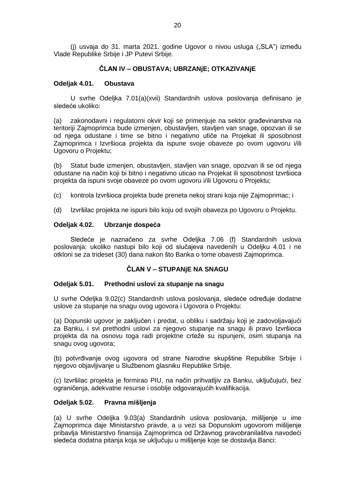<span id="page-19-0"></span>(j) usvaja do 31. marta 2021. godine Ugovor o nivou usluga ("SLA") između Vlade Republike Srbije i JP Putevi Srbije.

### **ČLAN IV – OBUSTAVA; UBRZANjE; OTKAZIVANjE**

### <span id="page-19-1"></span>**Odeljak 4.01. Obustava**

U svrhe Odeljka 7.01(a)(xvii) Standardnih uslova poslovanja definisano je sledeće ukoliko:

(a) zakonodavni i regulatorni okvir koji se primenjuje na sektor građevinarstva na teritoriji Zajmoprimca bude izmenjen, obustavljen, stavljen van snage, opozvan ili se od njega odustane i time se bitno i negativno utiče na Projekat ili sposobnost Zajmoprimca i Izvršioca projekta da ispune svoje obaveze po ovom ugovoru i/ili Ugovoru o Projektu;

(b) Statut bude izmenjen, obustavljen, stavljen van snage, opozvan ili se od njega odustane na način koji bi bitno i negativno uticao na Projekat ili sposobnost Izvršioca projekta da ispuni svoje obaveze po ovom ugovoru i/ili Ugovoru o Projektu;

- (c) kontrola Izvršioca projekta bude preneta nekoj strani koja nije Zajmoprimac; i
- (d) Izvršilac projekta ne ispuni bilo koju od svojih obaveza po Ugovoru o Projektu.

#### **Odeljak 4.02. Ubrzanje dospeća**

Sledeće je naznačeno za svrhe Odeljka 7.06 (f) Standardnih uslova poslovanja: ukoliko nastupi bilo koji od slučajeva navedenih u Odeljku 4.01 i ne otkloni se za trideset (30) dana nakon što Banka o tome obavesti Zajmoprimca.

#### **ČLAN V – STUPANjE NA SNAGU**

#### <span id="page-19-2"></span>**Odeljak 5.01. Prethodni uslovi za stupanje na snagu**

U svrhe Odeljka 9.02(c) Standardnih uslova poslovanja, sledeće određuje dodatne uslove za stupanje na snagu ovog ugovora i Ugovora o Projektu:

(a) Dopunski ugovor je zaključen i predat, u obliku i sadržaju koji je zadovoljavajući za Banku, i svi prethodni uslovi za njegovo stupanje na snagu ili pravo Izvršioca projekta da na osnovu toga radi projektne crteže su ispunjeni, osim stupanja na snagu ovog ugovora;

(b) potvrđivanje ovog ugovora od strane Narodne skupštine Republike Srbije i njegovo objavljivanje u Službenom glasniku Republike Srbije.

(c) Izvršilac projekta je formirao PIU, na način prihvatljiv za Banku, uključujući, bez ograničenja, adekvatne resurse i osoblje odgovarajućih kvalifikacija.

#### <span id="page-19-3"></span>**Odeljak 5.02. Pravna mišljenja**

(a) U svrhe Odeljka 9.03(a) Standardnih uslova poslovanja, mišljenje u ime Zajmoprimca daje Ministarstvo pravde, a u vezi sa Dopunskim ugovorom mišljenje pribavlja Ministarstvo finansija Zajmoprimca od Državnog pravobranilaštva navodeći sledeća dodatna pitanja koja se uključuju u mišljenje koje se dostavlja Banci: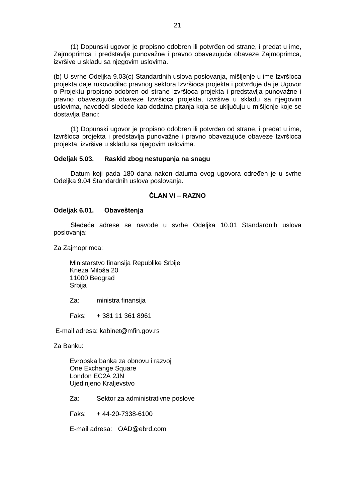(1) Dopunski ugovor je propisno odobren ili potvrđen od strane, i predat u ime, Zajmoprimca i predstavlja punovažne i pravno obavezujuće obaveze Zajmoprimca, izvršive u skladu sa njegovim uslovima.

(b) U svrhe Odeljka 9.03(c) Standardnih uslova poslovanja, mišljenje u ime Izvršioca projekta daje rukovodilac pravnog sektora Izvršioca projekta i potvrđuje da je Ugovor o Projektu propisno odobren od strane Izvršioca projekta i predstavlja punovažne i pravno obavezujuće obaveze Izvršioca projekta, izvršive u skladu sa njegovim uslovima, navodeći sledeće kao dodatna pitanja koja se uključuju u mišljenje koje se dostavlja Banci:

(1) Dopunski ugovor je propisno odobren ili potvrđen od strane, i predat u ime, Izvršioca projekta i predstavlja punovažne i pravno obavezujuće obaveze Izvršioca projekta, izvršive u skladu sa njegovim uslovima.

### <span id="page-20-0"></span>**Odeljak 5.03. Raskid zbog nestupanja na snagu**

<span id="page-20-1"></span>Datum koji pada 180 dana nakon datuma ovog ugovora određen je u svrhe Odeljka 9.04 Standardnih uslova poslovanja.

## **ČLAN VI – RAZNO**

### <span id="page-20-2"></span>**Odeljak 6.01. Obaveštenja**

Sledeće adrese se navode u svrhe Odeljka 10.01 Standardnih uslova poslovanja:

Za Zajmoprimca:

Ministarstvo finansija Republike Srbije Kneza Miloša 20 11000 Beograd Srbija

Za: ministra finansija

Faks: + 381 11 361 8961

E-mail adresa: kabinet@mfin.gov.rs

Za Banku:

Evropska banka za obnovu i razvoj One Exchange Square London EC2A 2JN Ujedinjeno Kraljevstvo

Za: Sektor za administrativne poslove

Faks: + 44-20-7338-6100

E-mail adresa: OAD@ebrd.com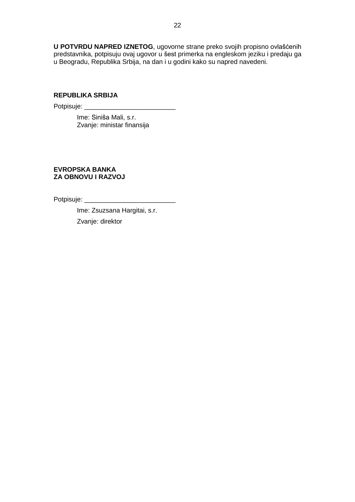**U POTVRDU NAPRED IZNETOG**, ugovorne strane preko svojih propisno ovlašćenih predstavnika, potpisuju ovaj ugovor u šest primerka na engleskom jeziku i predaju ga u Beogradu, Republika Srbija, na dan i u godini kako su napred navedeni.

# **REPUBLIKA SRBIJA**

Potpisuje: \_\_\_\_\_\_\_\_\_\_\_\_\_\_\_\_\_\_\_\_\_\_\_\_\_

Ime: Siniša Mali, s.r. Zvanje: ministar finansija

## **EVROPSKA BANKA ZA OBNOVU I RAZVOJ**

Potpisuje: \_\_\_\_\_\_\_\_\_\_\_\_\_\_\_\_\_\_\_\_\_\_\_\_\_

Ime: Zsuzsana Hargitai, s.r. Zvanje: direktor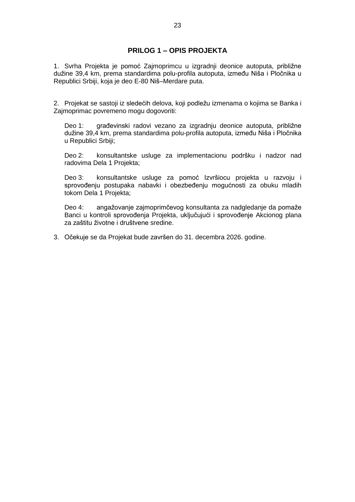# **PRILOG 1 – OPIS PROJEKTA**

<span id="page-22-0"></span>1. Svrha Projekta je pomoć Zajmoprimcu u izgradnji deonice autoputa, približne dužine 39,4 km, prema standardima polu-profila autoputa, između Niša i Pločnika u Republici Srbiji, koja je deo E-80 Niš–Merdare puta.

2. Projekat se sastoji iz sledećih delova, koji podležu izmenama o kojima se Banka i Zajmoprimac povremeno mogu dogovoriti:

Deo 1: građevinski radovi vezano za izgradnju deonice autoputa, približne dužine 39,4 km, prema standardima polu-profila autoputa, između Niša i Pločnika u Republici Srbiji;

Deo 2: konsultantske usluge za implementacionu podršku i nadzor nad radovima Dela 1 Projekta;

Deo 3: konsultantske usluge za pomoć Izvršiocu projekta u razvoju i sprovođenju postupaka nabavki i obezbeđenju mogućnosti za obuku mladih tokom Dela 1 Projekta;

Deo 4: angažovanje zajmoprimčevog konsultanta za nadgledanje da pomaže Banci u kontroli sprovođenja Projekta, uključujući i sprovođenje Akcionog plana za zaštitu životne i društvene sredine.

3. Očekuje se da Projekat bude završen do 31. decembra 2026. godine.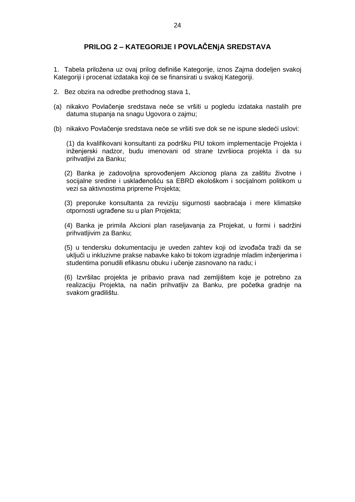# **PRILOG 2 – KATEGORIJE I POVLAČENjA SREDSTAVA**

1. Tabela priložena uz ovaj prilog definiše Kategorije, iznos Zajma dodeljen svakoj Kategoriji i procenat izdataka koji će se finansirati u svakoj Kategoriji.

- 2. Bez obzira na odredbe prethodnog stava 1,
- (a) nikakvo Povlačenje sredstava neće se vršiti u pogledu izdataka nastalih pre datuma stupanja na snagu Ugovora o zajmu;
- (b) nikakvo Povlačenje sredstava neće se vršiti sve dok se ne ispune sledeći uslovi:

(1) da kvalifikovani konsultanti za podršku PIU tokom implementacije Projekta i inženjerski nadzor, budu imenovani od strane Izvršioca projekta i da su prihvatljivi za Banku;

(2) Banka je zadovoljna sprovođenjem Akcionog plana za zaštitu životne i socijalne sredine i usklađenošću sa EBRD ekološkom i socijalnom politikom u vezi sa aktivnostima pripreme Projekta;

(3) preporuke konsultanta za reviziju sigurnosti saobraćaja i mere klimatske otpornosti ugrađene su u plan Projekta;

(4) Banka je primila Akcioni plan raseljavanja za Projekat, u formi i sadržini prihvatljivim za Banku;

(5) u tendersku dokumentaciju je uveden zahtev koji od izvođača traži da se uključi u inkluzivne prakse nabavke kako bi tokom izgradnje mladim inženjerima i studentima ponudili efikasnu obuku i učenje zasnovano na radu; i

(6) Izvršilac projekta je pribavio prava nad zemljištem koje je potrebno za realizaciju Projekta, na način prihvatljiv za Banku, pre početka gradnje na svakom gradilištu.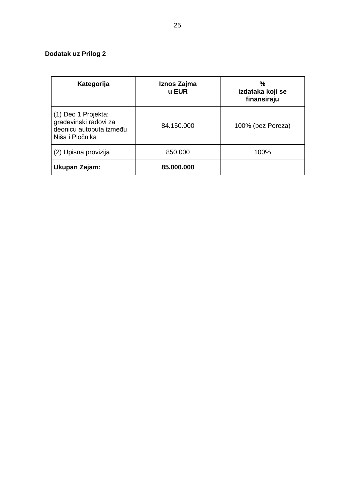# **Dodatak uz Prilog 2**

| Kategorija                                                                                 | Iznos Zajma<br>u EUR | %<br>izdataka koji se<br>finansiraju |
|--------------------------------------------------------------------------------------------|----------------------|--------------------------------------|
| (1) Deo 1 Projekta:<br>građevinski radovi za<br>deonicu autoputa između<br>Niša i Pločnika | 84.150.000           | 100% (bez Poreza)                    |
| (2) Upisna provizija                                                                       | 850.000              | 100%                                 |
| Ukupan Zajam:                                                                              | 85,000,000           |                                      |